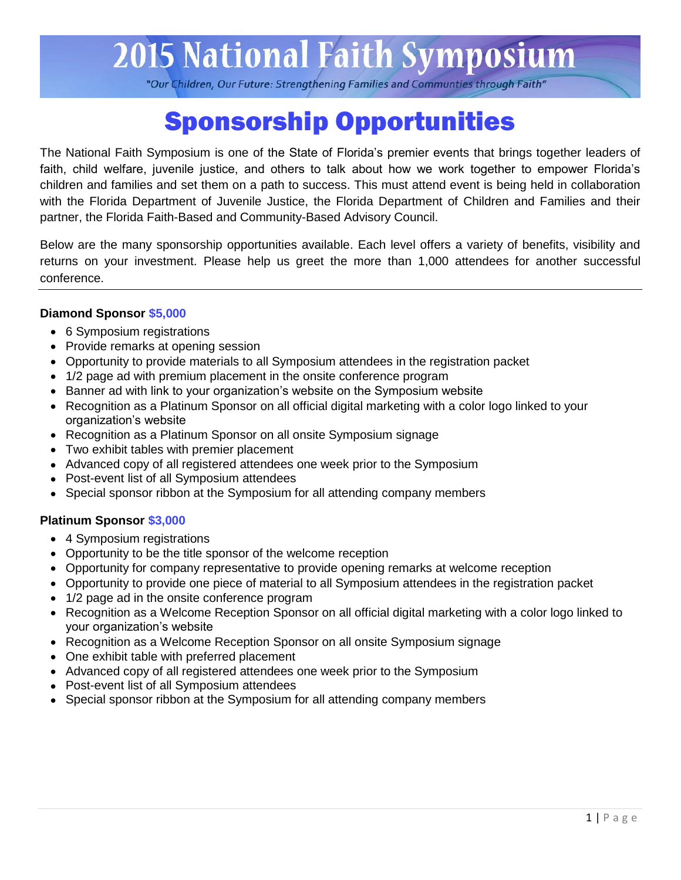# **2015 National Faith Symposium**

"Our Children, Our Future: Strengthening Families and Communties through Faith"

# Sponsorship Opportunities

The National Faith Symposium is one of the State of Florida's premier events that brings together leaders of faith, child welfare, juvenile justice, and others to talk about how we work together to empower Florida's children and families and set them on a path to success. This must attend event is being held in collaboration with the Florida Department of Juvenile Justice, the Florida Department of Children and Families and their partner, the Florida Faith-Based and Community-Based Advisory Council.

Below are the many sponsorship opportunities available. Each level offers a variety of benefits, visibility and returns on your investment. Please help us greet the more than 1,000 attendees for another successful conference.

#### **Diamond Sponsor \$5,000**

- 6 Symposium registrations
- Provide remarks at opening session
- Opportunity to provide materials to all Symposium attendees in the registration packet
- 1/2 page ad with premium placement in the onsite conference program
- Banner ad with link to your organization's website on the Symposium website
- Recognition as a Platinum Sponsor on all official digital marketing with a color logo linked to your organization's website
- Recognition as a Platinum Sponsor on all onsite Symposium signage
- Two exhibit tables with premier placement
- Advanced copy of all registered attendees one week prior to the Symposium
- Post-event list of all Symposium attendees
- Special sponsor ribbon at the Symposium for all attending company members

#### **Platinum Sponsor \$3,000**

- 4 Symposium registrations
- Opportunity to be the title sponsor of the welcome reception
- Opportunity for company representative to provide opening remarks at welcome reception
- Opportunity to provide one piece of material to all Symposium attendees in the registration packet
- 1/2 page ad in the onsite conference program
- Recognition as a Welcome Reception Sponsor on all official digital marketing with a color logo linked to your organization's website
- Recognition as a Welcome Reception Sponsor on all onsite Symposium signage
- One exhibit table with preferred placement
- Advanced copy of all registered attendees one week prior to the Symposium
- Post-event list of all Symposium attendees
- Special sponsor ribbon at the Symposium for all attending company members